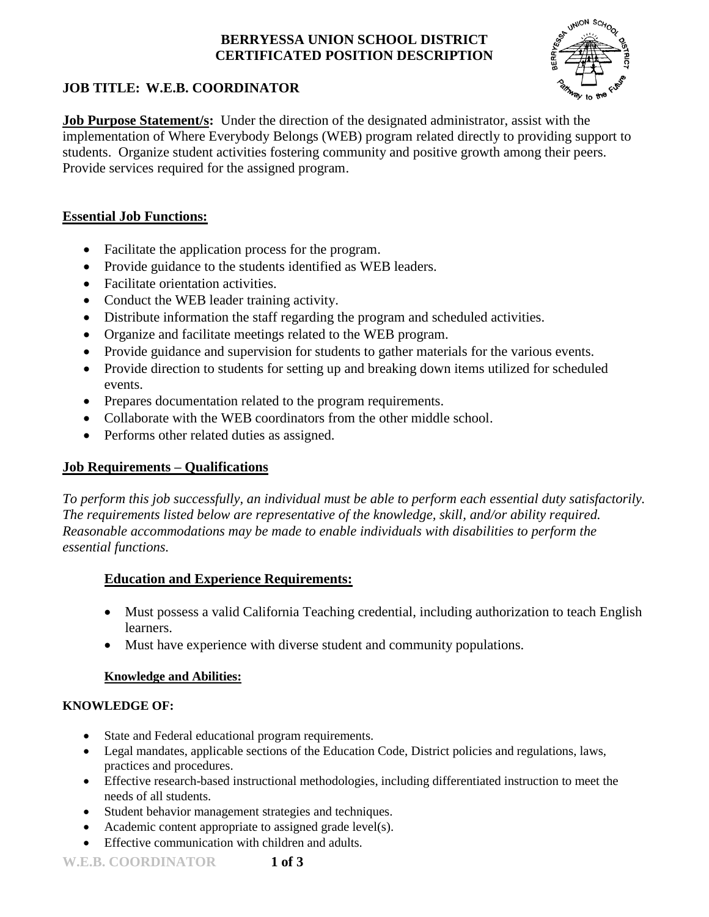# **BERRYESSA UNION SCHOOL DISTRICT CERTIFICATED POSITION DESCRIPTION**



# **JOB TITLE: W.E.B. COORDINATOR**

**Job Purpose Statement/s:** Under the direction of the designated administrator, assist with the implementation of Where Everybody Belongs (WEB) program related directly to providing support to students. Organize student activities fostering community and positive growth among their peers. Provide services required for the assigned program.

# **Essential Job Functions:**

- Facilitate the application process for the program.
- Provide guidance to the students identified as WEB leaders.
- Facilitate orientation activities.
- Conduct the WEB leader training activity.
- Distribute information the staff regarding the program and scheduled activities.
- Organize and facilitate meetings related to the WEB program.
- Provide guidance and supervision for students to gather materials for the various events.
- Provide direction to students for setting up and breaking down items utilized for scheduled events.
- Prepares documentation related to the program requirements.
- Collaborate with the WEB coordinators from the other middle school.
- Performs other related duties as assigned.

# **Job Requirements – Qualifications**

*To perform this job successfully, an individual must be able to perform each essential duty satisfactorily. The requirements listed below are representative of the knowledge, skill, and/or ability required. Reasonable accommodations may be made to enable individuals with disabilities to perform the essential functions.*

# **Education and Experience Requirements:**

- Must possess a valid California Teaching credential, including authorization to teach English learners.
- Must have experience with diverse student and community populations.

### **Knowledge and Abilities:**

### **KNOWLEDGE OF:**

- State and Federal educational program requirements.
- Legal mandates, applicable sections of the Education Code, District policies and regulations, laws, practices and procedures.
- Effective research-based instructional methodologies, including differentiated instruction to meet the needs of all students.
- Student behavior management strategies and techniques.
- Academic content appropriate to assigned grade level(s).
- Effective communication with children and adults.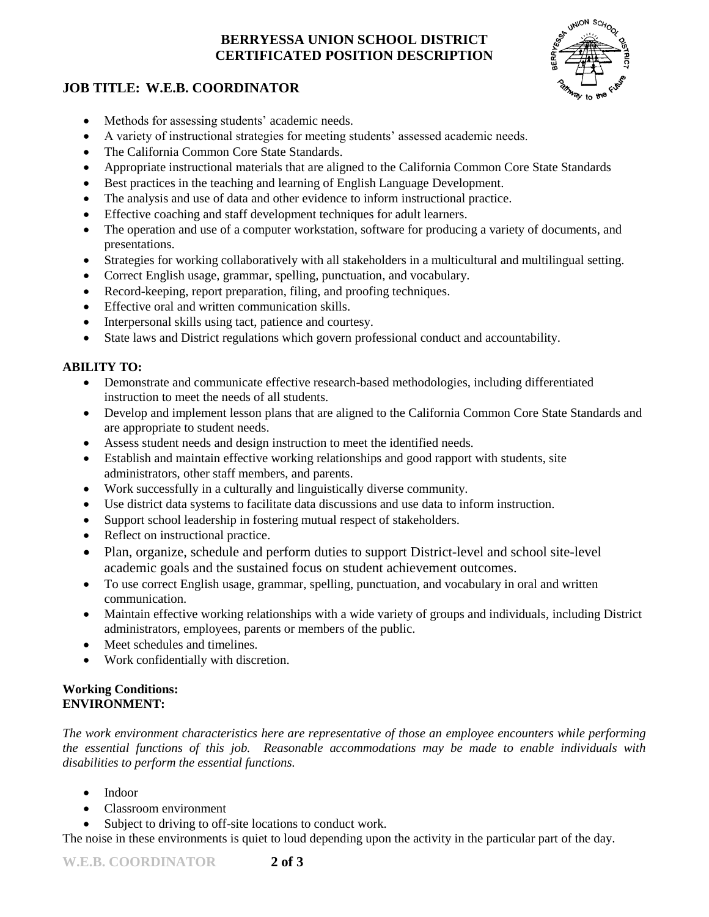# **BERRYESSA UNION SCHOOL DISTRICT CERTIFICATED POSITION DESCRIPTION**

# **JOB TITLE: W.E.B. COORDINATOR**



- Methods for assessing students' academic needs.
- A variety of instructional strategies for meeting students' assessed academic needs.
- The California Common Core State Standards.
- Appropriate instructional materials that are aligned to the California Common Core State Standards
- Best practices in the teaching and learning of English Language Development.
- The analysis and use of data and other evidence to inform instructional practice.
- Effective coaching and staff development techniques for adult learners.
- The operation and use of a computer workstation, software for producing a variety of documents, and presentations.
- Strategies for working collaboratively with all stakeholders in a multicultural and multilingual setting.
- Correct English usage, grammar, spelling, punctuation, and vocabulary.
- Record-keeping, report preparation, filing, and proofing techniques.
- Effective oral and written communication skills.
- Interpersonal skills using tact, patience and courtesy.
- State laws and District regulations which govern professional conduct and accountability.

#### **ABILITY TO:**

- Demonstrate and communicate effective research-based methodologies, including differentiated instruction to meet the needs of all students.
- Develop and implement lesson plans that are aligned to the California Common Core State Standards and are appropriate to student needs.
- Assess student needs and design instruction to meet the identified needs.
- Establish and maintain effective working relationships and good rapport with students, site administrators, other staff members, and parents.
- Work successfully in a culturally and linguistically diverse community.
- Use district data systems to facilitate data discussions and use data to inform instruction.
- Support school leadership in fostering mutual respect of stakeholders.
- Reflect on instructional practice.
- Plan, organize, schedule and perform duties to support District-level and school site-level academic goals and the sustained focus on student achievement outcomes.
- To use correct English usage, grammar, spelling, punctuation, and vocabulary in oral and written communication.
- Maintain effective working relationships with a wide variety of groups and individuals, including District administrators, employees, parents or members of the public.
- Meet schedules and timelines.
- Work confidentially with discretion.

#### **Working Conditions: ENVIRONMENT:**

*The work environment characteristics here are representative of those an employee encounters while performing the essential functions of this job. Reasonable accommodations may be made to enable individuals with disabilities to perform the essential functions.*

- Indoor
- Classroom environment
- Subject to driving to off-site locations to conduct work.

The noise in these environments is quiet to loud depending upon the activity in the particular part of the day.